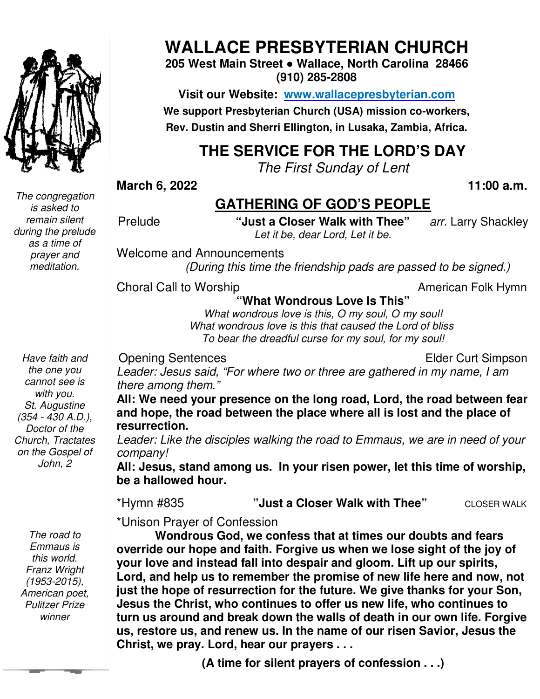

**WALLACE PRESBYTERIAN CHURCH**

**205 West Main Street ● Wallace, North Carolina 28466 (910) 285-2808** 

**Visit our Website: www.wallacepresbyterian.com** We support Presbyterian Church (USA) mission co-workers, **Rev. Dustin and Sherri Ellington, in Lusaka, Zambia, Africa. Sherri Ellington,** 

### **THE SERVICE FOR THE LORD'S DAY**

*The First Sunday of Lent* 

**March 6, 2022 11:00** 

#### **GATHERING OF GOD'S PEOPLE**

Prelude **"Just a Closer Walk with Thee** Walk with Thee" arr. Larry Shackley *Let it be, dear Lord, Let it be.* 

Welcome and Announcements and Announcements

*(During this time the friendship pads are passed to be signed.)* 

Choral Call to Worship

to Worship **Example 20** and the Morship **American Folk Hymn** 

**"What Wondrous Love Is This"**

*What wondrous love is this, O my soul, O my soul!* What wondrous love is this that caused the Lord of bliss *To bear the dreadful curse for my soul, for my soul!*

Opening Sentences

Elder Curt Simpson

Leader: Jesus said, "For where two or three are gathered in my name, I am *there among them."* 

All: We need your presence on the long road, Lord, the road between fear and hope, the road between the place where all is lost and the place of **resurrection.** 

Leader: Like the disciples walking the road to Emmaus, we are in need of your *company!* 

All: Jesus, stand among us. In your risen power, let this time of worship, **be a hallowed hour.**

\*Hymn #835 **"Just a Closer Walk with Thee"** CLOSER WALK

\*Unison Prayer of Confession

Wondrous God, we confess that at times our doubts and fears **override our hope and faith. Forgive us when we lose sight of the joy of**  override our hope and faith. Forgive us when we lose sight of the joy<br>your love and instead fall into despair and gloom. Lift up our spirits, Lord, and help us to remember the promise of new life here and now, not **just the hope of resurrection for the future. We give thanks for your Son, Jesus the Christ, who continues to offer us new life, who continues to turn us around and break down the walls of death in our own life. Forgive us, restore us, and renew us. In the nam Christ, we pray. Lord, hear our prayers . . .** e hope of resurrection for the future. We give thanks for your Son<br>the Christ, who continues to offer us new life, who continues to<br>s around and break down the walls of death in our own life. Forgiv<br>tore us, and renew us. 11:00 a.m.<br> **Lord ATHERING OF GOD'S PEOPLE**<br>
"Just a Closer Walk with Thee" arr. Larry Shackley<br> *Let it be, dear Lord, Let it be.*<br>
Informations towe is this "<br>
What Wondrous Love Is This"<br>
"What wondrous lowe is this "<br> **n of us of pair our life here future. give thanks Christ, offer e our** 

**(A time for silent prayers of confession . . .)**

*The congregation is asked to remain silent during the prelude as a time of prayer and meditation.* 

*Have faith and the one you cannot see is with you. St. Augustine (354 - 430 A.D.), Doctor of the Church, Tractates on the Gospel of John, 2* 

 *Pulitzer Prize The road to Emmaus is this world. Franz Wright (1953-2015), American poet, winner*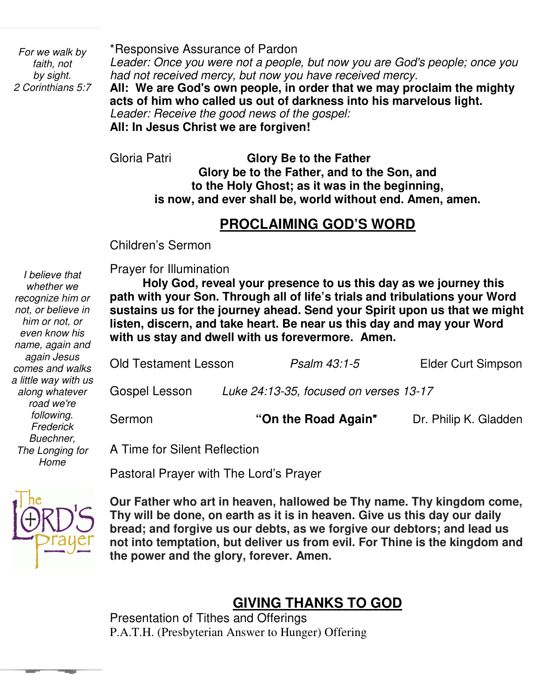*For we walk by faith, not by sight. 2 Corinthians 5:7*  \*Responsive Assurance of Pardon

*Leader: Once you were not a people, but now you are God's people; once you had not received mercy, but now you have received mercy.*

**All: We are God's own people, in order that we may proclaim the mighty acts of him who called us out of darkness into his marvelous light.**  *Leader: Receive the good news of the gospel:* 

**All: In Jesus Christ we are forgiven!**

Gloria Patri **Glory Be to the Father Glory be to the Father, and to the Son, and to the Holy Ghost; as it was in the beginning, is now, and ever shall be, world without end. Amen, amen.** 

## **PROCLAIMING GOD'S WORD**

Children's Sermon

Prayer for Illumination

 *him or not, or I believe that whether we recognize him or not, or believe in even know his name, again and again Jesus comes and walks a little way with us along whatever road we're following. Frederick Buechner, The Longing for Home* 

 **path with your Son. Through all of life's trials and tribulations your Word Holy God, reveal your presence to us this day as we journey this sustains us for the journey ahead. Send your Spirit upon us that we might listen, discern, and take heart. Be near us this day and may your Word with us stay and dwell with us forevermore. Amen.** 

| <b>Old Testament Lesson</b> | Psalm 43:1-5                           | <b>Elder Curt Simpson</b> |
|-----------------------------|----------------------------------------|---------------------------|
| Gospel Lesson               | Luke 24:13-35, focused on verses 13-17 |                           |
| Sermon                      | "On the Road Again"                    | Dr. Philip K. Gladden     |

A Time for Silent Reflection

Pastoral Prayer with The Lord's Prayer



י<br>-**Our Father who art in heaven, hallowed be Thy name. Thy kingdom come, Thy will be done, on earth as it is in heaven. Give us this day our daily bread; and forgive us our debts, as we forgive our debtors; and lead us not into temptation, but deliver us from evil. For Thine is the kingdom and the power and the glory, forever. Amen.**

#### **GIVING THANKS TO GOD**

Presentation of Tithes and Offerings P.A.T.H. (Presbyterian Answer to Hunger) Offering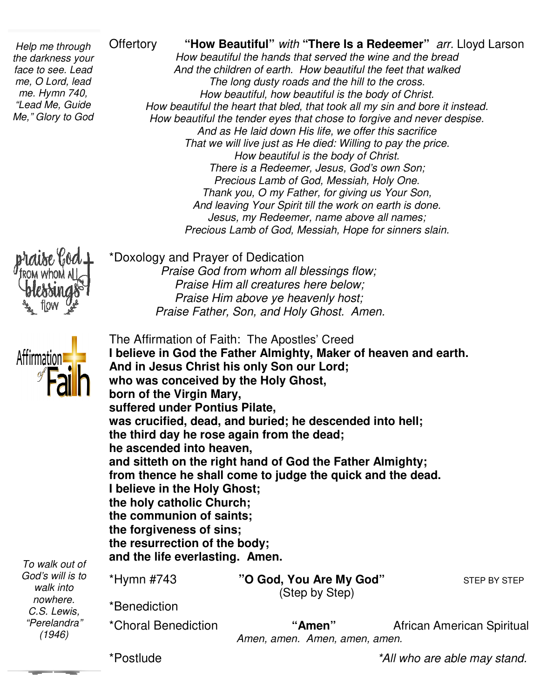\*Doxology and Prayer of Dedication

*Praise God from whom all blessings flow;*

 *Praise Him above ye heavenly host;* 

 *Praise Him all God from creatures here below;* 

 *Praise Father, Son, and Holy Ghost. Amen. Father,* 

 *"Lead Me, Guide Help me through the darkness your face to see. Lead me, O Lord, lead me. Hymn 740, Me," Glory to God* 

Offertory **"How Beautiful"** with "**There Is a Redeemer"** arr. Lloyd Larson<br> *And the children of earth. How beautiful the feet that walked*<br> *And the children of earth. How beautiful the feet that walked*<br> *The long dusty How beautiful the hands that served the wine and the bread And the children of e How beautiful hands that earth. How beautiful the feet that walked The long dusty roads and the hill to the cross. How beautiful, how beautiful is the body of Christ. How beautiful the heart that bled, that took all my sin and bore it instead. How beautiful the tender eyes that c And as He laid down His life, we offer this sacrifice That we will live just as He died: Willing to pay the price. How beautiful is the body of Christ. There is a Redeemer, Jesus, God's own Son; Precious Lamb of God, Mess Thank you, O my Father, for giving us Your Son, And leaving Your Spirit till the work on earth is done. Jesus, my Redeemer, name above all names;* And leaving Your Spirit till the work on earth is done.<br>Jesus, my Redeemer, name above all names;<br>Precious Lamb of God, Messiah, Hope for sinners slain. *The long dusty roads and the hill to the cross.*<br>*How beautiful, how beautiful is the body of Christ.*<br>beautiful the heart that bled, that took all my sin and bore it instead.<br>beautiful the tender eyes that chose to forgi And as He laid down His life, we offer this sacrit<br>at we will live just as He died: Willing to pay the<br>How beautiful is the body of Christ.<br>There is a Redeemer, Jesus, God's own Son<br>Precious Lamb of God, Messiah, Holy One. 



*walk into nowhere. C.S. Lewis, "Perelandra" (1946)* 

The Affirmation of Faith: The Apostles' Creed **I believe in God the Father Almighty, Maker of heaven and earth. And in Jesus Christ his only Son our Lord; Christ Lord; who was conceived by the Holy Ghost, the Ghost, born of the Virgin Mary, suffered under Pontius Pilate, Pilate,**  was crucified, dead, and buried; he descended into hell; the third day he rose again from the dead; **he ascended into heaven, and sitteth on the right hand of God the Father Almighty; from thence he shall come to judge the quick and the dead. I believe in the Holy Ghost; the holy catholic Church; the communion of saints; saints; the forgiveness of sins; the resurrection of the body; body; and the life everlasting. Amen.**  \*Hymn #743 **"O God, You Are My God O God"** STEP BY STEP *To walk out of God's will is to*  \*Benediction sitteth on the right hand of God the Father<br>**n** thence he shall come to judge the quick a<br>lieve in the Holy Ghost;<br>holy catholic Church; (Step by Step)

\*Choral Benediction

*Amen, amen. Amen, amen, amen. Amen, amen.* **"Amen"** African American Spiritual

\*Postlude

*\*All who are able may stand.*